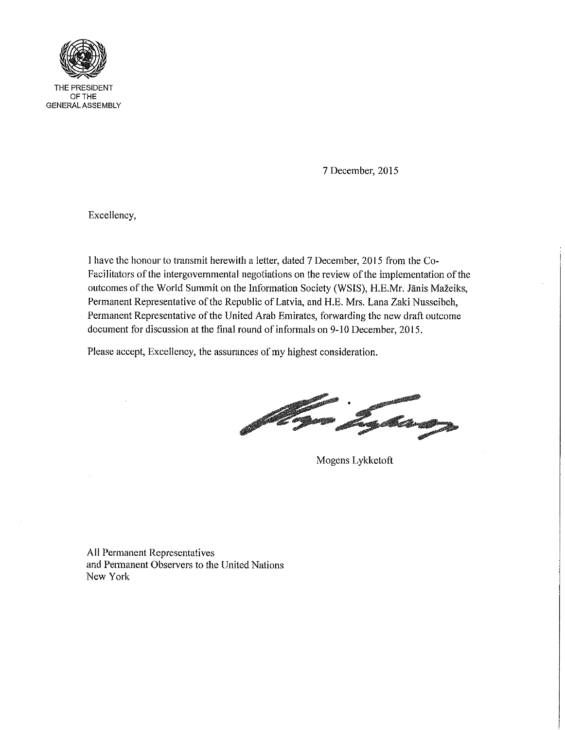

7 December, 2015

Excellency,

I have the honour to transmit herewith a letter, dated 7 December, 2015 from the Co-Facilitators of the intergovernmental negotiations on the review of the implementation of the outcomes of the World Summit on the Information Society (WSIS), H.E.Mr. Janis Mazeiks, Permanent Representative of the Republic of Latvia, and H.E. Mrs. Lana Zaki Nusseibeh, Permanent Representative of the United Arab Emirates, forwarding the new draft outcome document for discussion at the final round of informals on 9-10 December, 2015.

Please accept, Excellency, the assurances of my highest consideration.

.<br>Ang Kang

Mogens Lykketoft

All Permanent Representatives and Permanent Observers to the United Nations New York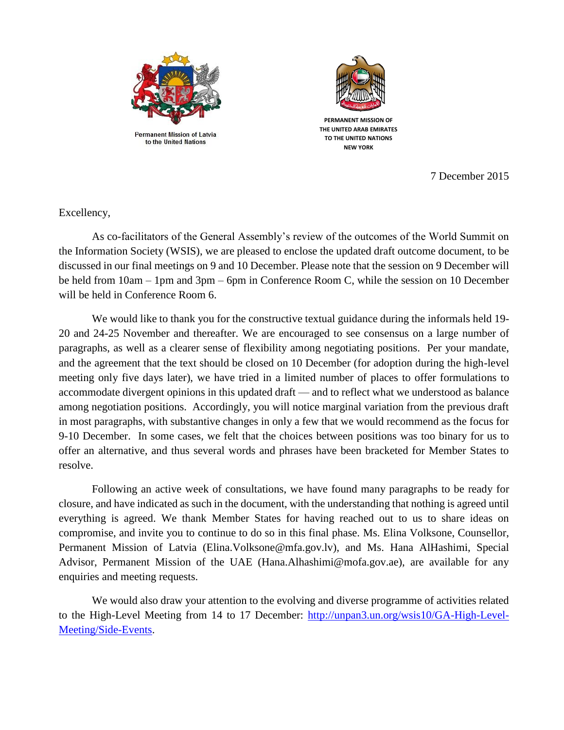

**Permanent Mission of Latvia** to the United Nations



**PERMANENT MISSION OF THE UNITED ARAB EMIRATES TO THE UNITED NATIONS NEW YORK**

7 December 2015

Excellency,

As co-facilitators of the General Assembly's review of the outcomes of the World Summit on the Information Society (WSIS), we are pleased to enclose the updated draft outcome document, to be discussed in our final meetings on 9 and 10 December. Please note that the session on 9 December will be held from 10am – 1pm and 3pm – 6pm in Conference Room C, while the session on 10 December will be held in Conference Room 6.

We would like to thank you for the constructive textual guidance during the informals held 19- 20 and 24-25 November and thereafter. We are encouraged to see consensus on a large number of paragraphs, as well as a clearer sense of flexibility among negotiating positions. Per your mandate, and the agreement that the text should be closed on 10 December (for adoption during the high-level meeting only five days later), we have tried in a limited number of places to offer formulations to accommodate divergent opinions in this updated draft — and to reflect what we understood as balance among negotiation positions. Accordingly, you will notice marginal variation from the previous draft in most paragraphs, with substantive changes in only a few that we would recommend as the focus for 9-10 December. In some cases, we felt that the choices between positions was too binary for us to offer an alternative, and thus several words and phrases have been bracketed for Member States to resolve.

Following an active week of consultations, we have found many paragraphs to be ready for closure, and have indicated as such in the document, with the understanding that nothing is agreed until everything is agreed. We thank Member States for having reached out to us to share ideas on compromise, and invite you to continue to do so in this final phase. Ms. Elina Volksone, Counsellor, Permanent Mission of Latvia (Elina.Volksone@mfa.gov.lv), and Ms. Hana AlHashimi, Special Advisor, Permanent Mission of the UAE (Hana.Alhashimi@mofa.gov.ae), are available for any enquiries and meeting requests.

We would also draw your attention to the evolving and diverse programme of activities related to the High-Level Meeting from 14 to 17 December: [http://unpan3.un.org/wsis10/GA-High-Level-](http://unpan3.un.org/wsis10/GA-High-Level-Meeting/Side-Events)[Meeting/Side-Events.](http://unpan3.un.org/wsis10/GA-High-Level-Meeting/Side-Events)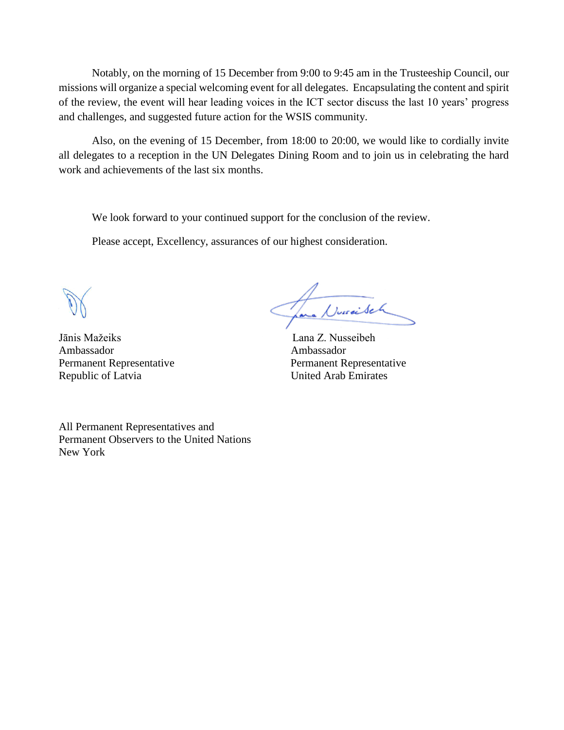Notably, on the morning of 15 December from 9:00 to 9:45 am in the Trusteeship Council, our missions will organize a special welcoming event for all delegates. Encapsulating the content and spirit of the review, the event will hear leading voices in the ICT sector discuss the last 10 years' progress and challenges, and suggested future action for the WSIS community.

Also, on the evening of 15 December, from 18:00 to 20:00, we would like to cordially invite all delegates to a reception in the UN Delegates Dining Room and to join us in celebrating the hard work and achievements of the last six months.

We look forward to your continued support for the conclusion of the review.

Please accept, Excellency, assurances of our highest consideration.

Jānis Mažeiks Lana Z. Nusseibeh Ambassador Ambassador Republic of Latvia United Arab Emirates

Jana Duraisch

Permanent Representative Permanent Representative

All Permanent Representatives and Permanent Observers to the United Nations New York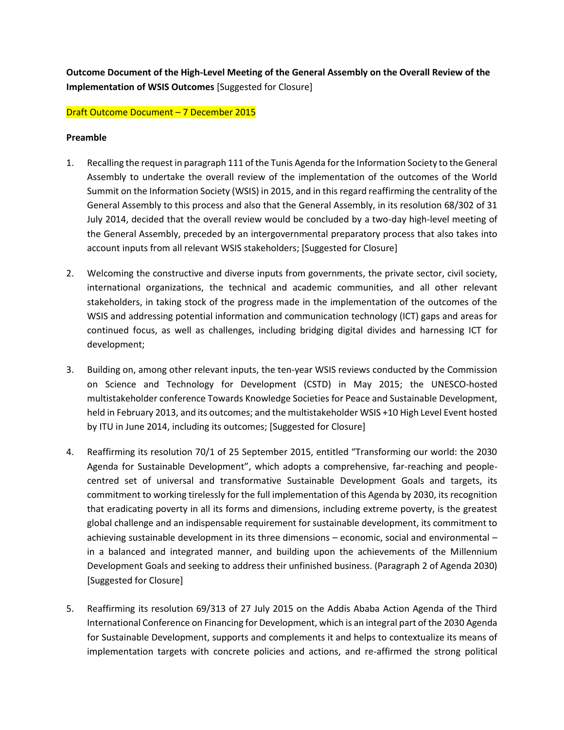**Outcome Document of the High-Level Meeting of the General Assembly on the Overall Review of the Implementation of WSIS Outcomes** [Suggested for Closure]

Draft Outcome Document – 7 December 2015

#### **Preamble**

- 1. Recalling the request in paragraph 111 of the Tunis Agenda for the Information Society to the General Assembly to undertake the overall review of the implementation of the outcomes of the World Summit on the Information Society (WSIS) in 2015, and in this regard reaffirming the centrality of the General Assembly to this process and also that the General Assembly, in its resolution 68/302 of 31 July 2014, decided that the overall review would be concluded by a two-day high-level meeting of the General Assembly, preceded by an intergovernmental preparatory process that also takes into account inputs from all relevant WSIS stakeholders; [Suggested for Closure]
- 2. Welcoming the constructive and diverse inputs from governments, the private sector, civil society, international organizations, the technical and academic communities, and all other relevant stakeholders, in taking stock of the progress made in the implementation of the outcomes of the WSIS and addressing potential information and communication technology (ICT) gaps and areas for continued focus, as well as challenges, including bridging digital divides and harnessing ICT for development;
- 3. Building on, among other relevant inputs, the ten-year WSIS reviews conducted by the Commission on Science and Technology for Development (CSTD) in May 2015; the UNESCO-hosted multistakeholder conference Towards Knowledge Societies for Peace and Sustainable Development, held in February 2013, and its outcomes; and the multistakeholder WSIS +10 High Level Event hosted by ITU in June 2014, including its outcomes; [Suggested for Closure]
- 4. Reaffirming its resolution 70/1 of 25 September 2015, entitled "Transforming our world: the 2030 Agenda for Sustainable Development", which adopts a comprehensive, far-reaching and peoplecentred set of universal and transformative Sustainable Development Goals and targets, its commitment to working tirelessly for the full implementation of this Agenda by 2030, its recognition that eradicating poverty in all its forms and dimensions, including extreme poverty, is the greatest global challenge and an indispensable requirement for sustainable development, its commitment to achieving sustainable development in its three dimensions – economic, social and environmental – in a balanced and integrated manner, and building upon the achievements of the Millennium Development Goals and seeking to address their unfinished business. (Paragraph 2 of Agenda 2030) [Suggested for Closure]
- 5. Reaffirming its resolution 69/313 of 27 July 2015 on the Addis Ababa Action Agenda of the Third International Conference on Financing for Development, which is an integral part of the 2030 Agenda for Sustainable Development, supports and complements it and helps to contextualize its means of implementation targets with concrete policies and actions, and re-affirmed the strong political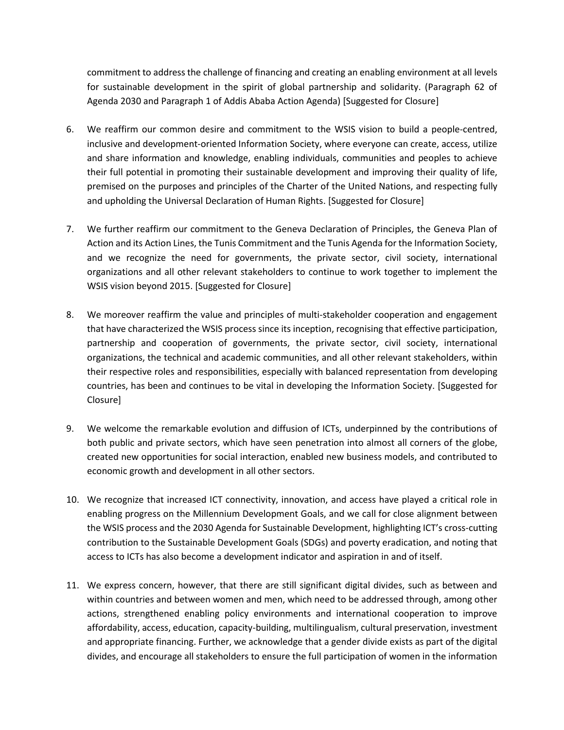commitment to address the challenge of financing and creating an enabling environment at all levels for sustainable development in the spirit of global partnership and solidarity. (Paragraph 62 of Agenda 2030 and Paragraph 1 of Addis Ababa Action Agenda) [Suggested for Closure]

- 6. We reaffirm our common desire and commitment to the WSIS vision to build a people-centred, inclusive and development-oriented Information Society, where everyone can create, access, utilize and share information and knowledge, enabling individuals, communities and peoples to achieve their full potential in promoting their sustainable development and improving their quality of life, premised on the purposes and principles of the Charter of the United Nations, and respecting fully and upholding the Universal Declaration of Human Rights. [Suggested for Closure]
- 7. We further reaffirm our commitment to the Geneva Declaration of Principles, the Geneva Plan of Action and its Action Lines, the Tunis Commitment and the Tunis Agenda for the Information Society, and we recognize the need for governments, the private sector, civil society, international organizations and all other relevant stakeholders to continue to work together to implement the WSIS vision beyond 2015. [Suggested for Closure]
- 8. We moreover reaffirm the value and principles of multi-stakeholder cooperation and engagement that have characterized the WSIS process since its inception, recognising that effective participation, partnership and cooperation of governments, the private sector, civil society, international organizations, the technical and academic communities, and all other relevant stakeholders, within their respective roles and responsibilities, especially with balanced representation from developing countries, has been and continues to be vital in developing the Information Society. [Suggested for Closure]
- 9. We welcome the remarkable evolution and diffusion of ICTs, underpinned by the contributions of both public and private sectors, which have seen penetration into almost all corners of the globe, created new opportunities for social interaction, enabled new business models, and contributed to economic growth and development in all other sectors.
- 10. We recognize that increased ICT connectivity, innovation, and access have played a critical role in enabling progress on the Millennium Development Goals, and we call for close alignment between the WSIS process and the 2030 Agenda for Sustainable Development, highlighting ICT's cross-cutting contribution to the Sustainable Development Goals (SDGs) and poverty eradication, and noting that access to ICTs has also become a development indicator and aspiration in and of itself.
- 11. We express concern, however, that there are still significant digital divides, such as between and within countries and between women and men, which need to be addressed through, among other actions, strengthened enabling policy environments and international cooperation to improve affordability, access, education, capacity-building, multilingualism, cultural preservation, investment and appropriate financing. Further, we acknowledge that a gender divide exists as part of the digital divides, and encourage all stakeholders to ensure the full participation of women in the information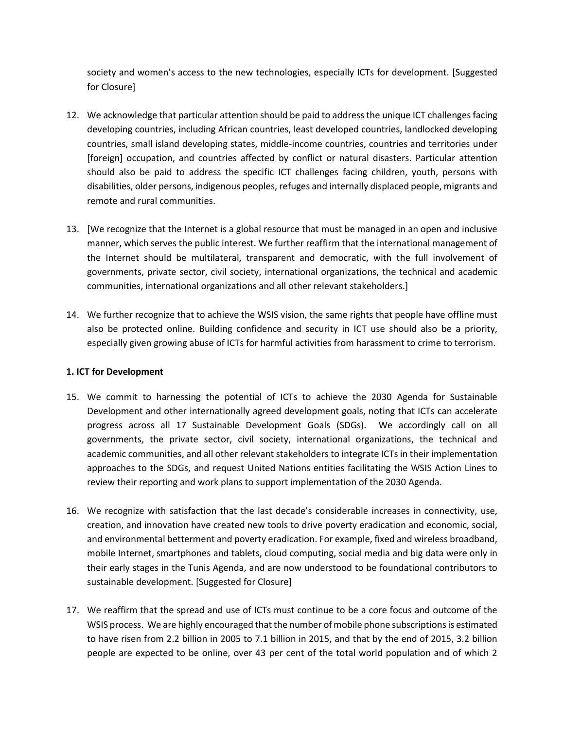society and women's access to the new technologies, especially ICTs for development. [Suggested for Closure]

- 12. We acknowledge that particular attention should be paid to address the unique ICT challenges facing developing countries, including African countries, least developed countries, landlocked developing countries, small island developing states, middle-income countries, countries and territories under [foreign] occupation, and countries affected by conflict or natural disasters. Particular attention should also be paid to address the specific ICT challenges facing children, youth, persons with disabilities, older persons, indigenous peoples, refuges and internally displaced people, migrants and remote and rural communities.
- 13. [We recognize that the Internet is a global resource that must be managed in an open and inclusive manner, which serves the public interest. We further reaffirm that the international management of the Internet should be multilateral, transparent and democratic, with the full involvement of governments, private sector, civil society, international organizations, the technical and academic communities, international organizations and all other relevant stakeholders.]
- 14. We further recognize that to achieve the WSIS vision, the same rights that people have offline must also be protected online. Building confidence and security in ICT use should also be a priority, especially given growing abuse of ICTs for harmful activities from harassment to crime to terrorism.

# **1. ICT for Development**

- 15. We commit to harnessing the potential of ICTs to achieve the 2030 Agenda for Sustainable Development and other internationally agreed development goals, noting that ICTs can accelerate progress across all 17 Sustainable Development Goals (SDGs). We accordingly call on all governments, the private sector, civil society, international organizations, the technical and academic communities, and all other relevant stakeholders to integrate ICTs in their implementation approaches to the SDGs, and request United Nations entities facilitating the WSIS Action Lines to review their reporting and work plans to support implementation of the 2030 Agenda.
- 16. We recognize with satisfaction that the last decade's considerable increases in connectivity, use, creation, and innovation have created new tools to drive poverty eradication and economic, social, and environmental betterment and poverty eradication. For example, fixed and wireless broadband, mobile Internet, smartphones and tablets, cloud computing, social media and big data were only in their early stages in the Tunis Agenda, and are now understood to be foundational contributors to sustainable development. [Suggested for Closure]
- 17. We reaffirm that the spread and use of ICTs must continue to be a core focus and outcome of the WSIS process. We are highly encouraged that the number of mobile phone subscriptions is estimated to have risen from 2.2 billion in 2005 to 7.1 billion in 2015, and that by the end of 2015, 3.2 billion people are expected to be online, over 43 per cent of the total world population and of which 2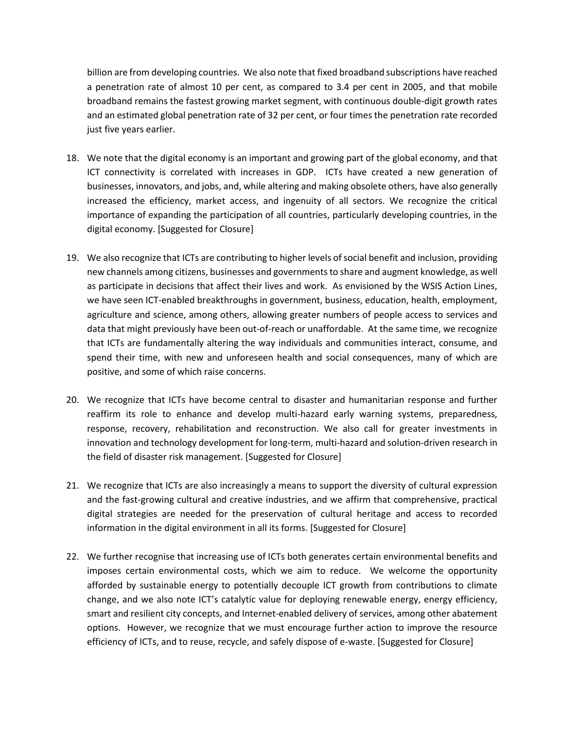billion are from developing countries. We also note that fixed broadband subscriptions have reached a penetration rate of almost 10 per cent, as compared to 3.4 per cent in 2005, and that mobile broadband remains the fastest growing market segment, with continuous double-digit growth rates and an estimated global penetration rate of 32 per cent, or four times the penetration rate recorded just five years earlier.

- 18. We note that the digital economy is an important and growing part of the global economy, and that ICT connectivity is correlated with increases in GDP. ICTs have created a new generation of businesses, innovators, and jobs, and, while altering and making obsolete others, have also generally increased the efficiency, market access, and ingenuity of all sectors. We recognize the critical importance of expanding the participation of all countries, particularly developing countries, in the digital economy. [Suggested for Closure]
- 19. We also recognize that ICTs are contributing to higher levels ofsocial benefit and inclusion, providing new channels among citizens, businesses and governmentsto share and augment knowledge, as well as participate in decisions that affect their lives and work. As envisioned by the WSIS Action Lines, we have seen ICT-enabled breakthroughs in government, business, education, health, employment, agriculture and science, among others, allowing greater numbers of people access to services and data that might previously have been out-of-reach or unaffordable. At the same time, we recognize that ICTs are fundamentally altering the way individuals and communities interact, consume, and spend their time, with new and unforeseen health and social consequences, many of which are positive, and some of which raise concerns.
- 20. We recognize that ICTs have become central to disaster and humanitarian response and further reaffirm its role to enhance and develop multi-hazard early warning systems, preparedness, response, recovery, rehabilitation and reconstruction. We also call for greater investments in innovation and technology development for long-term, multi-hazard and solution-driven research in the field of disaster risk management. [Suggested for Closure]
- 21. We recognize that ICTs are also increasingly a means to support the diversity of cultural expression and the fast-growing cultural and creative industries, and we affirm that comprehensive, practical digital strategies are needed for the preservation of cultural heritage and access to recorded information in the digital environment in all its forms. [Suggested for Closure]
- 22. We further recognise that increasing use of ICTs both generates certain environmental benefits and imposes certain environmental costs, which we aim to reduce. We welcome the opportunity afforded by sustainable energy to potentially decouple ICT growth from contributions to climate change, and we also note ICT's catalytic value for deploying renewable energy, energy efficiency, smart and resilient city concepts, and Internet-enabled delivery of services, among other abatement options. However, we recognize that we must encourage further action to improve the resource efficiency of ICTs, and to reuse, recycle, and safely dispose of e-waste. [Suggested for Closure]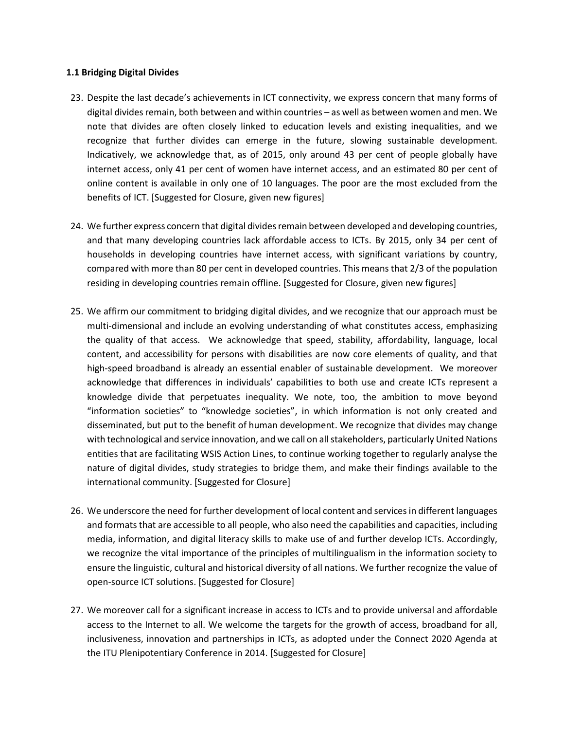#### **1.1 Bridging Digital Divides**

- 23. Despite the last decade's achievements in ICT connectivity, we express concern that many forms of digital divides remain, both between and within countries – as well as between women and men. We note that divides are often closely linked to education levels and existing inequalities, and we recognize that further divides can emerge in the future, slowing sustainable development. Indicatively, we acknowledge that, as of 2015, only around 43 per cent of people globally have internet access, only 41 per cent of women have internet access, and an estimated 80 per cent of online content is available in only one of 10 languages. The poor are the most excluded from the benefits of ICT. [Suggested for Closure, given new figures]
- 24. We further express concern that digital divides remain between developed and developing countries, and that many developing countries lack affordable access to ICTs. By 2015, only 34 per cent of households in developing countries have internet access, with significant variations by country, compared with more than 80 per cent in developed countries. This means that 2/3 of the population residing in developing countries remain offline. [Suggested for Closure, given new figures]
- 25. We affirm our commitment to bridging digital divides, and we recognize that our approach must be multi-dimensional and include an evolving understanding of what constitutes access, emphasizing the quality of that access. We acknowledge that speed, stability, affordability, language, local content, and accessibility for persons with disabilities are now core elements of quality, and that high-speed broadband is already an essential enabler of sustainable development. We moreover acknowledge that differences in individuals' capabilities to both use and create ICTs represent a knowledge divide that perpetuates inequality. We note, too, the ambition to move beyond "information societies" to "knowledge societies", in which information is not only created and disseminated, but put to the benefit of human development. We recognize that divides may change with technological and service innovation, and we call on all stakeholders, particularly United Nations entities that are facilitating WSIS Action Lines, to continue working together to regularly analyse the nature of digital divides, study strategies to bridge them, and make their findings available to the international community. [Suggested for Closure]
- 26. We underscore the need for further development of local content and services in different languages and formats that are accessible to all people, who also need the capabilities and capacities, including media, information, and digital literacy skills to make use of and further develop ICTs. Accordingly, we recognize the vital importance of the principles of multilingualism in the information society to ensure the linguistic, cultural and historical diversity of all nations. We further recognize the value of open-source ICT solutions. [Suggested for Closure]
- 27. We moreover call for a significant increase in access to ICTs and to provide universal and affordable access to the Internet to all. We welcome the targets for the growth of access, broadband for all, inclusiveness, innovation and partnerships in ICTs, as adopted under the Connect 2020 Agenda at the ITU Plenipotentiary Conference in 2014. [Suggested for Closure]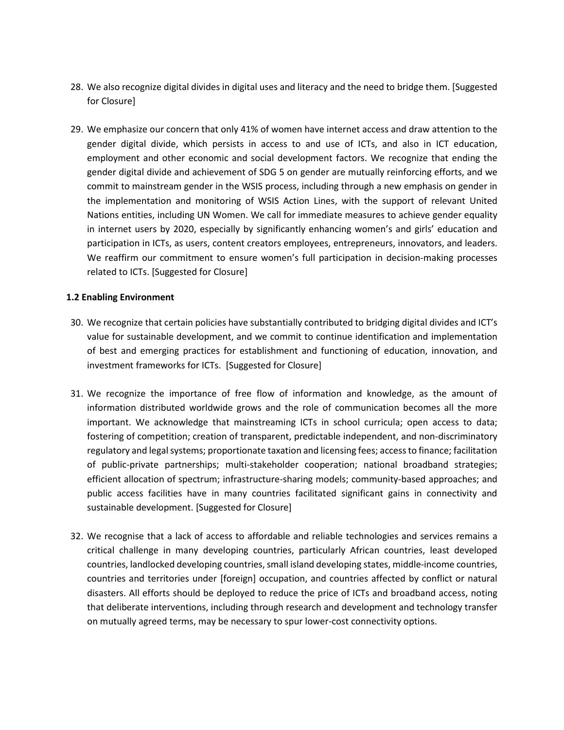- 28. We also recognize digital divides in digital uses and literacy and the need to bridge them. [Suggested for Closure]
- 29. We emphasize our concern that only 41% of women have internet access and draw attention to the gender digital divide, which persists in access to and use of ICTs, and also in ICT education, employment and other economic and social development factors. We recognize that ending the gender digital divide and achievement of SDG 5 on gender are mutually reinforcing efforts, and we commit to mainstream gender in the WSIS process, including through a new emphasis on gender in the implementation and monitoring of WSIS Action Lines, with the support of relevant United Nations entities, including UN Women. We call for immediate measures to achieve gender equality in internet users by 2020, especially by significantly enhancing women's and girls' education and participation in ICTs, as users, content creators employees, entrepreneurs, innovators, and leaders. We reaffirm our commitment to ensure women's full participation in decision-making processes related to ICTs. [Suggested for Closure]

# **1.2 Enabling Environment**

- 30. We recognize that certain policies have substantially contributed to bridging digital divides and ICT's value for sustainable development, and we commit to continue identification and implementation of best and emerging practices for establishment and functioning of education, innovation, and investment frameworks for ICTs. [Suggested for Closure]
- 31. We recognize the importance of free flow of information and knowledge, as the amount of information distributed worldwide grows and the role of communication becomes all the more important. We acknowledge that mainstreaming ICTs in school curricula; open access to data; fostering of competition; creation of transparent, predictable independent, and non-discriminatory regulatory and legal systems; proportionate taxation and licensing fees; access to finance; facilitation of public-private partnerships; multi-stakeholder cooperation; national broadband strategies; efficient allocation of spectrum; infrastructure-sharing models; community-based approaches; and public access facilities have in many countries facilitated significant gains in connectivity and sustainable development. [Suggested for Closure]
- 32. We recognise that a lack of access to affordable and reliable technologies and services remains a critical challenge in many developing countries, particularly African countries, least developed countries, landlocked developing countries, small island developing states, middle-income countries, countries and territories under [foreign] occupation, and countries affected by conflict or natural disasters. All efforts should be deployed to reduce the price of ICTs and broadband access, noting that deliberate interventions, including through research and development and technology transfer on mutually agreed terms, may be necessary to spur lower-cost connectivity options.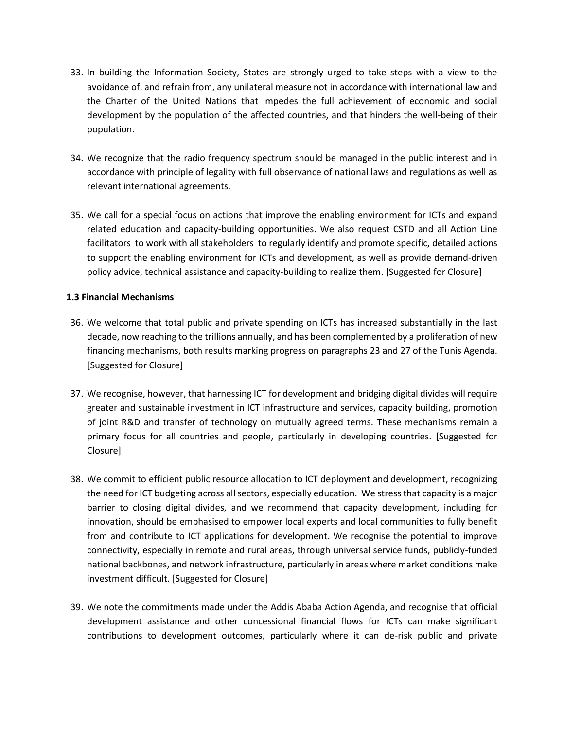- 33. In building the Information Society, States are strongly urged to take steps with a view to the avoidance of, and refrain from, any unilateral measure not in accordance with international law and the Charter of the United Nations that impedes the full achievement of economic and social development by the population of the affected countries, and that hinders the well-being of their population.
- 34. We recognize that the radio frequency spectrum should be managed in the public interest and in accordance with principle of legality with full observance of national laws and regulations as well as relevant international agreements.
- 35. We call for a special focus on actions that improve the enabling environment for ICTs and expand related education and capacity-building opportunities. We also request CSTD and all Action Line facilitators to work with all stakeholders to regularly identify and promote specific, detailed actions to support the enabling environment for ICTs and development, as well as provide demand-driven policy advice, technical assistance and capacity-building to realize them. [Suggested for Closure]

# **1.3 Financial Mechanisms**

- 36. We welcome that total public and private spending on ICTs has increased substantially in the last decade, now reaching to the trillions annually, and has been complemented by a proliferation of new financing mechanisms, both results marking progress on paragraphs 23 and 27 of the Tunis Agenda. [Suggested for Closure]
- 37. We recognise, however, that harnessing ICT for development and bridging digital divides will require greater and sustainable investment in ICT infrastructure and services, capacity building, promotion of joint R&D and transfer of technology on mutually agreed terms. These mechanisms remain a primary focus for all countries and people, particularly in developing countries. [Suggested for Closure]
- 38. We commit to efficient public resource allocation to ICT deployment and development, recognizing the need for ICT budgeting across all sectors, especially education. We stress that capacity is a major barrier to closing digital divides, and we recommend that capacity development, including for innovation, should be emphasised to empower local experts and local communities to fully benefit from and contribute to ICT applications for development. We recognise the potential to improve connectivity, especially in remote and rural areas, through universal service funds, publicly-funded national backbones, and network infrastructure, particularly in areas where market conditions make investment difficult. [Suggested for Closure]
- 39. We note the commitments made under the Addis Ababa Action Agenda, and recognise that official development assistance and other concessional financial flows for ICTs can make significant contributions to development outcomes, particularly where it can de-risk public and private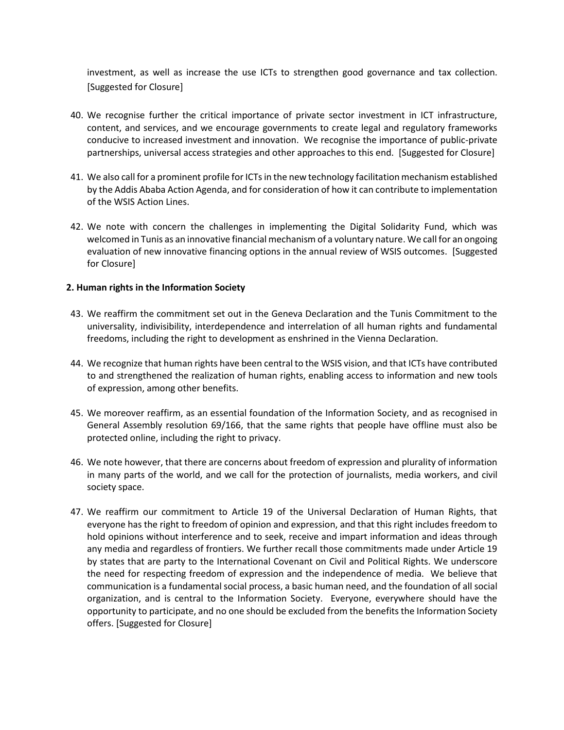investment, as well as increase the use ICTs to strengthen good governance and tax collection. [Suggested for Closure]

- 40. We recognise further the critical importance of private sector investment in ICT infrastructure, content, and services, and we encourage governments to create legal and regulatory frameworks conducive to increased investment and innovation. We recognise the importance of public-private partnerships, universal access strategies and other approaches to this end. [Suggested for Closure]
- 41. We also call for a prominent profile for ICTs in the new technology facilitation mechanism established by the Addis Ababa Action Agenda, and for consideration of how it can contribute to implementation of the WSIS Action Lines.
- 42. We note with concern the challenges in implementing the Digital Solidarity Fund, which was welcomed in Tunis as an innovative financial mechanism of a voluntary nature. We call for an ongoing evaluation of new innovative financing options in the annual review of WSIS outcomes. [Suggested for Closure]

# **2. Human rights in the Information Society**

- 43. We reaffirm the commitment set out in the Geneva Declaration and the Tunis Commitment to the universality, indivisibility, interdependence and interrelation of all human rights and fundamental freedoms, including the right to development as enshrined in the Vienna Declaration.
- 44. We recognize that human rights have been central to the WSIS vision, and that ICTs have contributed to and strengthened the realization of human rights, enabling access to information and new tools of expression, among other benefits.
- 45. We moreover reaffirm, as an essential foundation of the Information Society, and as recognised in General Assembly resolution 69/166, that the same rights that people have offline must also be protected online, including the right to privacy.
- 46. We note however, that there are concerns about freedom of expression and plurality of information in many parts of the world, and we call for the protection of journalists, media workers, and civil society space.
- 47. We reaffirm our commitment to Article 19 of the Universal Declaration of Human Rights, that everyone has the right to freedom of opinion and expression, and that this right includes freedom to hold opinions without interference and to seek, receive and impart information and ideas through any media and regardless of frontiers. We further recall those commitments made under Article 19 by states that are party to the International Covenant on Civil and Political Rights. We underscore the need for respecting freedom of expression and the independence of media. We believe that communication is a fundamental social process, a basic human need, and the foundation of all social organization, and is central to the Information Society. Everyone, everywhere should have the opportunity to participate, and no one should be excluded from the benefits the Information Society offers. [Suggested for Closure]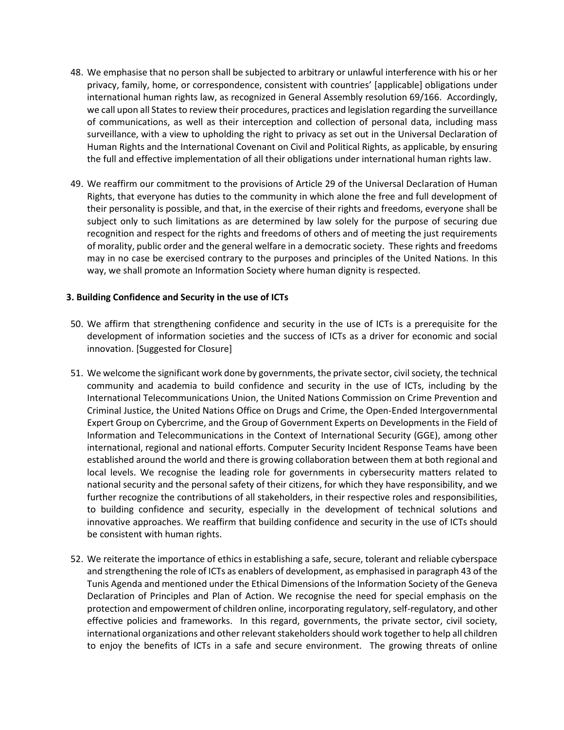- 48. We emphasise that no person shall be subjected to arbitrary or unlawful interference with his or her privacy, family, home, or correspondence, consistent with countries' [applicable] obligations under international human rights law, as recognized in General Assembly resolution 69/166. Accordingly, we call upon all States to review their procedures, practices and legislation regarding the surveillance of communications, as well as their interception and collection of personal data, including mass surveillance, with a view to upholding the right to privacy as set out in the Universal Declaration of Human Rights and the International Covenant on Civil and Political Rights, as applicable, by ensuring the full and effective implementation of all their obligations under international human rights law.
- 49. We reaffirm our commitment to the provisions of Article 29 of the Universal Declaration of Human Rights, that everyone has duties to the community in which alone the free and full development of their personality is possible, and that, in the exercise of their rights and freedoms, everyone shall be subject only to such limitations as are determined by law solely for the purpose of securing due recognition and respect for the rights and freedoms of others and of meeting the just requirements of morality, public order and the general welfare in a democratic society. These rights and freedoms may in no case be exercised contrary to the purposes and principles of the United Nations. In this way, we shall promote an Information Society where human dignity is respected.

# **3. Building Confidence and Security in the use of ICTs**

- 50. We affirm that strengthening confidence and security in the use of ICTs is a prerequisite for the development of information societies and the success of ICTs as a driver for economic and social innovation. [Suggested for Closure]
- 51. We welcome the significant work done by governments, the private sector, civil society, the technical community and academia to build confidence and security in the use of ICTs, including by the International Telecommunications Union, the United Nations Commission on Crime Prevention and Criminal Justice, the United Nations Office on Drugs and Crime, the Open-Ended Intergovernmental Expert Group on Cybercrime, and the Group of Government Experts on Developments in the Field of Information and Telecommunications in the Context of International Security (GGE), among other international, regional and national efforts. Computer Security Incident Response Teams have been established around the world and there is growing collaboration between them at both regional and local levels. We recognise the leading role for governments in cybersecurity matters related to national security and the personal safety of their citizens, for which they have responsibility, and we further recognize the contributions of all stakeholders, in their respective roles and responsibilities, to building confidence and security, especially in the development of technical solutions and innovative approaches. We reaffirm that building confidence and security in the use of ICTs should be consistent with human rights.
- 52. We reiterate the importance of ethics in establishing a safe, secure, tolerant and reliable cyberspace and strengthening the role of ICTs as enablers of development, as emphasised in paragraph 43 of the Tunis Agenda and mentioned under the Ethical Dimensions of the Information Society of the Geneva Declaration of Principles and Plan of Action. We recognise the need for special emphasis on the protection and empowerment of children online, incorporating regulatory, self-regulatory, and other effective policies and frameworks. In this regard, governments, the private sector, civil society, international organizations and other relevant stakeholders should work together to help all children to enjoy the benefits of ICTs in a safe and secure environment. The growing threats of online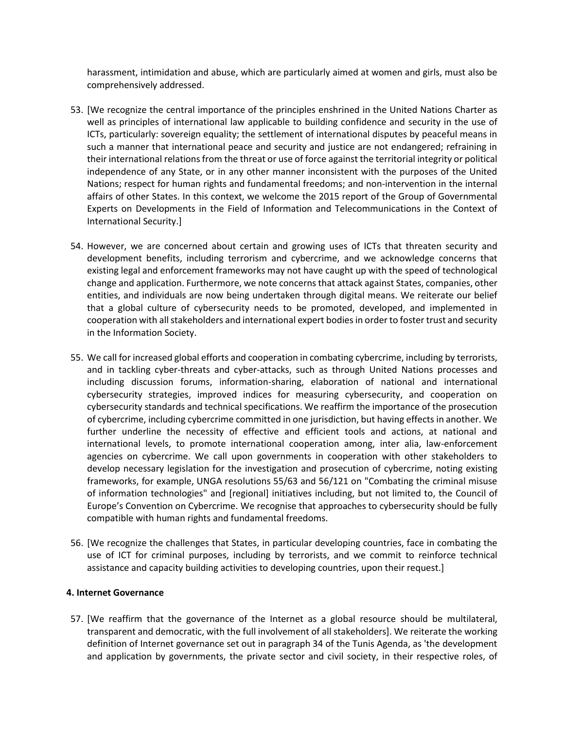harassment, intimidation and abuse, which are particularly aimed at women and girls, must also be comprehensively addressed.

- 53. [We recognize the central importance of the principles enshrined in the United Nations Charter as well as principles of international law applicable to building confidence and security in the use of ICTs, particularly: sovereign equality; the settlement of international disputes by peaceful means in such a manner that international peace and security and justice are not endangered; refraining in their international relations from the threat or use of force against the territorial integrity or political independence of any State, or in any other manner inconsistent with the purposes of the United Nations; respect for human rights and fundamental freedoms; and non-intervention in the internal affairs of other States. In this context, we welcome the 2015 report of the Group of Governmental Experts on Developments in the Field of Information and Telecommunications in the Context of International Security.]
- 54. However, we are concerned about certain and growing uses of ICTs that threaten security and development benefits, including terrorism and cybercrime, and we acknowledge concerns that existing legal and enforcement frameworks may not have caught up with the speed of technological change and application. Furthermore, we note concerns that attack against States, companies, other entities, and individuals are now being undertaken through digital means. We reiterate our belief that a global culture of cybersecurity needs to be promoted, developed, and implemented in cooperation with all stakeholders and international expert bodies in order to foster trust and security in the Information Society.
- 55. We call for increased global efforts and cooperation in combating cybercrime, including by terrorists, and in tackling cyber-threats and cyber-attacks, such as through United Nations processes and including discussion forums, information-sharing, elaboration of national and international cybersecurity strategies, improved indices for measuring cybersecurity, and cooperation on cybersecurity standards and technical specifications. We reaffirm the importance of the prosecution of cybercrime, including cybercrime committed in one jurisdiction, but having effects in another. We further underline the necessity of effective and efficient tools and actions, at national and international levels, to promote international cooperation among, inter alia, law-enforcement agencies on cybercrime. We call upon governments in cooperation with other stakeholders to develop necessary legislation for the investigation and prosecution of cybercrime, noting existing frameworks, for example, UNGA resolutions 55/63 and 56/121 on "Combating the criminal misuse of information technologies" and [regional] initiatives including, but not limited to, the Council of Europe's Convention on Cybercrime. We recognise that approaches to cybersecurity should be fully compatible with human rights and fundamental freedoms.
- 56. [We recognize the challenges that States, in particular developing countries, face in combating the use of ICT for criminal purposes, including by terrorists, and we commit to reinforce technical assistance and capacity building activities to developing countries, upon their request.]

# **4. Internet Governance**

57. [We reaffirm that the governance of the Internet as a global resource should be multilateral, transparent and democratic, with the full involvement of all stakeholders]. We reiterate the working definition of Internet governance set out in paragraph 34 of the Tunis Agenda, as 'the development and application by governments, the private sector and civil society, in their respective roles, of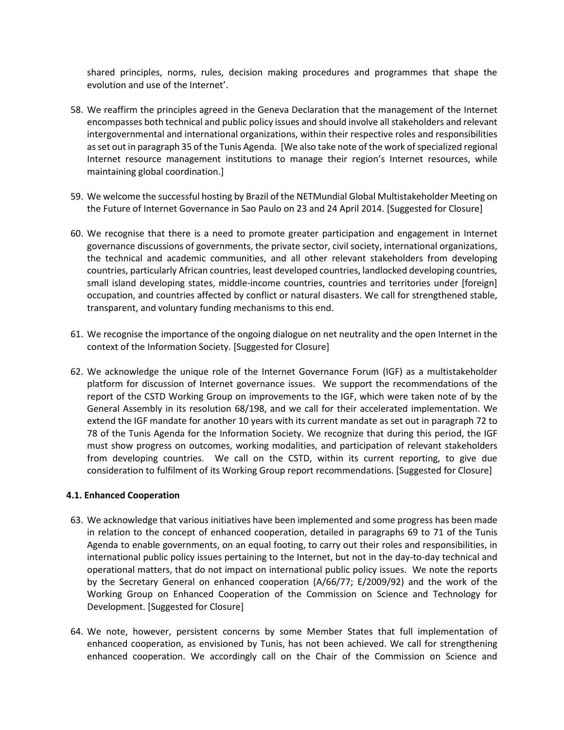shared principles, norms, rules, decision making procedures and programmes that shape the evolution and use of the Internet'.

- 58. We reaffirm the principles agreed in the Geneva Declaration that the management of the Internet encompasses both technical and public policy issues and should involve all stakeholders and relevant intergovernmental and international organizations, within their respective roles and responsibilities as set out in paragraph 35 of the Tunis Agenda. [We also take note of the work of specialized regional Internet resource management institutions to manage their region's Internet resources, while maintaining global coordination.]
- 59. We welcome the successful hosting by Brazil of the NETMundial Global Multistakeholder Meeting on the Future of Internet Governance in Sao Paulo on 23 and 24 April 2014. [Suggested for Closure]
- 60. We recognise that there is a need to promote greater participation and engagement in Internet governance discussions of governments, the private sector, civil society, international organizations, the technical and academic communities, and all other relevant stakeholders from developing countries, particularly African countries, least developed countries, landlocked developing countries, small island developing states, middle-income countries, countries and territories under [foreign] occupation, and countries affected by conflict or natural disasters. We call for strengthened stable, transparent, and voluntary funding mechanisms to this end.
- 61. We recognise the importance of the ongoing dialogue on net neutrality and the open Internet in the context of the Information Society. [Suggested for Closure]
- 62. We acknowledge the unique role of the Internet Governance Forum (IGF) as a multistakeholder platform for discussion of Internet governance issues. We support the recommendations of the report of the CSTD Working Group on improvements to the IGF, which were taken note of by the General Assembly in its resolution 68/198, and we call for their accelerated implementation. We extend the IGF mandate for another 10 years with its current mandate as set out in paragraph 72 to 78 of the Tunis Agenda for the Information Society. We recognize that during this period, the IGF must show progress on outcomes, working modalities, and participation of relevant stakeholders from developing countries. We call on the CSTD, within its current reporting, to give due consideration to fulfilment of its Working Group report recommendations. [Suggested for Closure]

#### **4.1. Enhanced Cooperation**

- 63. We acknowledge that various initiatives have been implemented and some progress has been made in relation to the concept of enhanced cooperation, detailed in paragraphs 69 to 71 of the Tunis Agenda to enable governments, on an equal footing, to carry out their roles and responsibilities, in international public policy issues pertaining to the Internet, but not in the day-to-day technical and operational matters, that do not impact on international public policy issues. We note the reports by the Secretary General on enhanced cooperation (A/66/77; E/2009/92) and the work of the Working Group on Enhanced Cooperation of the Commission on Science and Technology for Development. [Suggested for Closure]
- 64. We note, however, persistent concerns by some Member States that full implementation of enhanced cooperation, as envisioned by Tunis, has not been achieved. We call for strengthening enhanced cooperation. We accordingly call on the Chair of the Commission on Science and